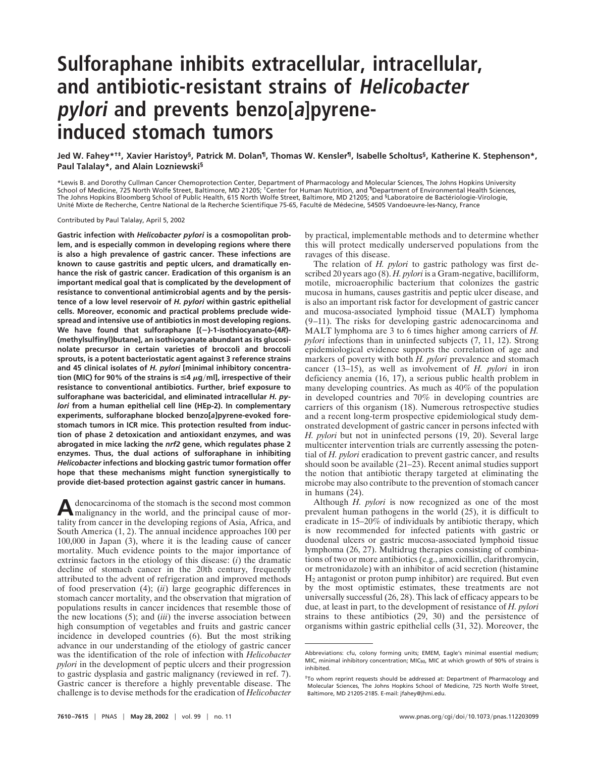# **Sulforaphane inhibits extracellular, intracellular, and antibiotic-resistant strains of Helicobacter pylori and prevents benzo[a]pyreneinduced stomach tumors**

**Jed W. Fahey\*†‡, Xavier Haristoy§, Patrick M. Dolan¶, Thomas W. Kensler¶, Isabelle Scholtus§, Katherine K. Stephenson\*, Paul Talalay\*, and Alain Lozniewski§**

\*Lewis B. and Dorothy Cullman Cancer Chemoprotection Center, Department of Pharmacology and Molecular Sciences, The Johns Hopkins University School of Medicine, 725 North Wolfe Street, Baltimore, MD 21205; <sup>†</sup>Center for Human Nutrition, and <sup>¶</sup>Department of Environmental Health Sciences, The Johns Hopkins Bloomberg School of Public Health, 615 North Wolfe Street, Baltimore, MD 21205; and §Laboratoire de Bactériologie-Virologie, Unité Mixte de Recherche, Centre National de la Recherche Scientifique 75-65, Faculté de Médecine, 54505 Vandoeuvre-les-Nancy, France

#### Contributed by Paul Talalay, April 5, 2002

**Gastric infection with** *Helicobacter pylori* **is a cosmopolitan problem, and is especially common in developing regions where there is also a high prevalence of gastric cancer. These infections are known to cause gastritis and peptic ulcers, and dramatically enhance the risk of gastric cancer. Eradication of this organism is an important medical goal that is complicated by the development of resistance to conventional antimicrobial agents and by the persistence of a low level reservoir of** *H. pylori* **within gastric epithelial cells. Moreover, economic and practical problems preclude widespread and intensive use of antibiotics in most developing regions. We have found that sulforaphane [()-1-isothiocyanato-(4***R***)- (methylsulfinyl)butane], an isothiocyanate abundant as its glucosinolate precursor in certain varieties of broccoli and broccoli sprouts, is a potent bacteriostatic agent against 3 reference strains and 45 clinical isolates of** *H. pylori* **[minimal inhibitory concentra** $t$ ion (MIC) for 90% of the strains is  $\leq$ 4  $\mu$ g/ml], irrespective of their **resistance to conventional antibiotics. Further, brief exposure to sulforaphane was bactericidal, and eliminated intracellular** *H. pylori* **from a human epithelial cell line (HEp-2). In complementary experiments, sulforaphane blocked benzo[***a***]pyrene-evoked forestomach tumors in ICR mice. This protection resulted from induction of phase 2 detoxication and antioxidant enzymes, and was abrogated in mice lacking the** *nrf2* **gene, which regulates phase 2 enzymes. Thus, the dual actions of sulforaphane in inhibiting** *Helicobacter* **infections and blocking gastric tumor formation offer hope that these mechanisms might function synergistically to provide diet-based protection against gastric cancer in humans.**

Adenocarcinoma of the stomach is the second most common malignancy in the world, and the principal cause of mortality from cancer in the developing regions of Asia, Africa, and South America (1, 2). The annual incidence approaches 100 per 100,000 in Japan (3), where it is the leading cause of cancer mortality. Much evidence points to the major importance of extrinsic factors in the etiology of this disease: (*i*) the dramatic decline of stomach cancer in the 20th century, frequently attributed to the advent of refrigeration and improved methods of food preservation (4); (*ii*) large geographic differences in stomach cancer mortality, and the observation that migration of populations results in cancer incidences that resemble those of the new locations (5); and (*iii*) the inverse association between high consumption of vegetables and fruits and gastric cancer incidence in developed countries (6). But the most striking advance in our understanding of the etiology of gastric cancer was the identification of the role of infection with *Helicobacter pylori* in the development of peptic ulcers and their progression to gastric dysplasia and gastric malignancy (reviewed in ref. 7). Gastric cancer is therefore a highly preventable disease. The challenge is to devise methods for the eradication of *Helicobacter*

by practical, implementable methods and to determine whether this will protect medically underserved populations from the ravages of this disease.

The relation of *H. pylori* to gastric pathology was first described 20 years ago (8). *H. pylori* is a Gram-negative, bacilliform, motile, microaerophilic bacterium that colonizes the gastric mucosa in humans, causes gastritis and peptic ulcer disease, and is also an important risk factor for development of gastric cancer and mucosa-associated lymphoid tissue (MALT) lymphoma (9–11). The risks for developing gastric adenocarcinoma and MALT lymphoma are 3 to 6 times higher among carriers of *H. pylori* infections than in uninfected subjects (7, 11, 12). Strong epidemiological evidence supports the correlation of age and markers of poverty with both *H. pylori* prevalence and stomach cancer (13–15), as well as involvement of *H. pylori* in iron deficiency anemia (16, 17), a serious public health problem in many developing countries. As much as 40% of the population in developed countries and 70% in developing countries are carriers of this organism (18). Numerous retrospective studies and a recent long-term prospective epidemiological study demonstrated development of gastric cancer in persons infected with *H. pylori* but not in uninfected persons (19, 20). Several large multicenter intervention trials are currently assessing the potential of *H. pylori* eradication to prevent gastric cancer, and results should soon be available (21–23). Recent animal studies support the notion that antibiotic therapy targeted at eliminating the microbe may also contribute to the prevention of stomach cancer in humans (24).

Although *H. pylori* is now recognized as one of the most prevalent human pathogens in the world (25), it is difficult to eradicate in 15–20% of individuals by antibiotic therapy, which is now recommended for infected patients with gastric or duodenal ulcers or gastric mucosa-associated lymphoid tissue lymphoma (26, 27). Multidrug therapies consisting of combinations of two or more antibiotics (e.g., amoxicillin, clarithromycin, or metronidazole) with an inhibitor of acid secretion (histamine H2 antagonist or proton pump inhibitor) are required. But even by the most optimistic estimates, these treatments are not universally successful (26, 28). This lack of efficacy appears to be due, at least in part, to the development of resistance of *H. pylori* strains to these antibiotics  $(29, 30)$  and the persistence of organisms within gastric epithelial cells (31, 32). Moreover, the

Abbreviations: cfu, colony forming units; EMEM, Eagle's minimal essential medium; MIC, minimal inhibitory concentration; MIC<sub>90</sub>, MIC at which growth of 90% of strains is inhibited.

<sup>‡</sup>To whom reprint requests should be addressed at: Department of Pharmacology and Molecular Sciences, The Johns Hopkins School of Medicine, 725 North Wolfe Street, Baltimore, MD 21205-2185. E-mail: jfahey@jhmi.edu.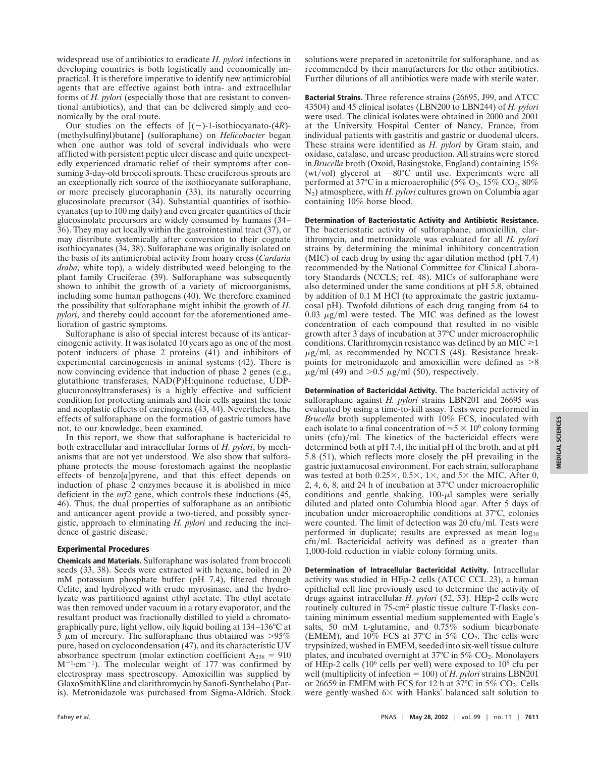widespread use of antibiotics to eradicate *H. pylori* infections in developing countries is both logistically and economically impractical. It is therefore imperative to identify new antimicrobial agents that are effective against both intra- and extracellular forms of *H. pylori* (especially those that are resistant to conventional antibiotics), and that can be delivered simply and economically by the oral route.

Our studies on the effects of  $[(-)-1$ -isothiocyanato-(4*R*)-(methylsulfinyl)butane] (sulforaphane) on *Helicobacter* began when one author was told of several individuals who were afflicted with persistent peptic ulcer disease and quite unexpectedly experienced dramatic relief of their symptoms after consuming 3-day-old broccoli sprouts. These cruciferous sprouts are an exceptionally rich source of the isothiocyanate sulforaphane, or more precisely glucoraphanin (33), its naturally occurring glucosinolate precursor (34). Substantial quantities of isothiocyanates (up to 100 mg daily) and even greater quantities of their glucosinolate precursors are widely consumed by humans (34– 36). They may act locally within the gastrointestinal tract (37), or may distribute systemically after conversion to their cognate isothiocyanates (34, 38). Sulforaphane was originally isolated on the basis of its antimicrobial activity from hoary cress (*Cardaria draba;* white top), a widely distributed weed belonging to the plant family Cruciferae (39). Sulforaphane was subsequently shown to inhibit the growth of a variety of microorganisms, including some human pathogens (40). We therefore examined the possibility that sulforaphane might inhibit the growth of *H. pylori*, and thereby could account for the aforementioned amelioration of gastric symptoms.

Sulforaphane is also of special interest because of its anticarcinogenic activity. It was isolated 10 years ago as one of the most potent inducers of phase 2 proteins (41) and inhibitors of experimental carcinogenesis in animal systems (42). There is now convincing evidence that induction of phase 2 genes (e.g., glutathione transferases, NAD(P)H:quinone reductase, UDPglucuronosyltransferases) is a highly effective and sufficient condition for protecting animals and their cells against the toxic and neoplastic effects of carcinogens (43, 44). Nevertheless, the effects of sulforaphane on the formation of gastric tumors have not, to our knowledge, been examined.

In this report, we show that sulforaphane is bactericidal to both extracellular and intracellular forms of *H. pylori*, by mechanisms that are not yet understood. We also show that sulforaphane protects the mouse forestomach against the neoplastic effects of benzo[*a*]pyrene, and that this effect depends on induction of phase 2 enzymes because it is abolished in mice deficient in the *nrf2* gene, which controls these inductions (45, 46). Thus, the dual properties of sulforaphane as an antibiotic and anticancer agent provide a two-tiered, and possibly synergistic, approach to eliminating *H. pylori* and reducing the incidence of gastric disease.

## **Experimental Procedures**

**Chemicals and Materials.** Sulforaphane was isolated from broccoli seeds (33, 38). Seeds were extracted with hexane, boiled in 20 mM potassium phosphate buffer (pH 7.4), filtered through Celite, and hydrolyzed with crude myrosinase, and the hydrolyzate was partitioned against ethyl acetate. The ethyl acetate was then removed under vacuum in a rotary evaporator, and the resultant product was fractionally distilled to yield a chromatographically pure, light yellow, oily liquid boiling at 134–136°C at 5  $\mu$ m of mercury. The sulforaphane thus obtained was >95% pure, based on cyclocondensation (47), and its characteristic UV absorbance spectrum (molar extinction coefficient  $A_{238} = 910$  $M^{-1}$ ·cm<sup>-1</sup>). The molecular weight of 177 was confirmed by electrospray mass spectroscopy. Amoxicillin was supplied by GlaxoSmithKline and clarithromycin by Sanofi-Synthelabo (Paris). Metronidazole was purchased from Sigma-Aldrich. Stock

solutions were prepared in acetonitrile for sulforaphane, and as recommended by their manufacturers for the other antibiotics. Further dilutions of all antibiotics were made with sterile water.

**Bacterial Strains.** Three reference strains (26695, J99, and ATCC 43504) and 45 clinical isolates (LBN200 to LBN244) of *H. pylori* were used. The clinical isolates were obtained in 2000 and 2001 at the University Hospital Center of Nancy, France, from individual patients with gastritis and gastric or duodenal ulcers. These strains were identified as *H. pylori* by Gram stain, and oxidase, catalase, and urease production. All strains were stored in *Brucella* broth (Oxoid, Basingstoke, England) containing 15% (wt/vol) glycerol at  $-80^{\circ}$ C until use. Experiments were all performed at 37°C in a microaerophilic (5%  $O_2$ , 15%  $CO_2$ , 80% N2) atmosphere, with *H. pylori* cultures grown on Columbia agar containing 10% horse blood.

**Determination of Bacteriostatic Activity and Antibiotic Resistance.** The bacteriostatic activity of sulforaphane, amoxicillin, clarithromycin, and metronidazole was evaluated for all *H. pylori* strains by determining the minimal inhibitory concentration (MIC) of each drug by using the agar dilution method (pH 7.4) recommended by the National Committee for Clinical Laboratory Standards (NCCLS; ref. 48). MICs of sulforaphane were also determined under the same conditions at pH 5.8, obtained by addition of 0.1 M HCl (to approximate the gastric juxtamucosal pH). Twofold dilutions of each drug ranging from 64 to 0.03  $\mu$ g/ml were tested. The MIC was defined as the lowest concentration of each compound that resulted in no visible growth after 3 days of incubation at 37°C under microaerophilic conditions. Clarithromycin resistance was defined by an MIC $\geq$ 1  $\mu$ g/ml, as recommended by NCCLS (48). Resistance breakpoints for metronidazole and amoxicillin were defined as  $>8$  $\mu$ g/ml (49) and >0.5  $\mu$ g/ml (50), respectively.

**Determination of Bactericidal Activity.** The bactericidal activity of sulforaphane against *H. pylori* strains LBN201 and 26695 was evaluated by using a time-to-kill assay. Tests were performed in *Brucella* broth supplemented with 10% FCS, inoculated with each isolate to a final concentration of  $\approx 5 \times 10^6$  colony forming units (cfu)/ml. The kinetics of the bactericidal effects were determined both at pH 7.4, the initial pH of the broth, and at pH 5.8 (51), which reflects more closely the pH prevailing in the gastric juxtamucosal environment. For each strain, sulforaphane was tested at both 0.25 $\times$ , 0.5 $\times$ , 1 $\times$ , and 5 $\times$  the MIC. After 0, 2, 4, 6, 8, and 24 h of incubation at 37°C under microaerophilic conditions and gentle shaking,  $100-\mu l$  samples were serially diluted and plated onto Columbia blood agar. After 5 days of incubation under microaerophilic conditions at 37°C, colonies were counted. The limit of detection was  $20 \text{ cfu/ml}$ . Tests were performed in duplicate; results are expressed as mean  $log_{10}$ cfu/ml. Bactericidal activity was defined as a greater than 1,000-fold reduction in viable colony forming units.

**Determination of Intracellular Bactericidal Activity.** Intracellular activity was studied in HEp-2 cells (ATCC CCL 23), a human epithelial cell line previously used to determine the activity of drugs against intracellular *H. pylori* (52, 53). HEp-2 cells were routinely cultured in 75-cm<sup>2</sup> plastic tissue culture T-flasks containing minimum essential medium supplemented with Eagle's salts, 50 mM L-glutamine, and 0.75% sodium bicarbonate (EMEM), and  $10\%$  FCS at 37°C in 5% CO<sub>2</sub>. The cells were trypsinized, washed in EMEM, seeded into six-well tissue culture plates, and incubated overnight at 37°C in 5% CO<sub>2</sub>. Monolayers of HEp-2 cells (10<sup>6</sup> cells per well) were exposed to  $10^8$  cfu per well (multiplicity of infection  $= 100$ ) of *H. pylori* strains LBN201 or 26659 in EMEM with FCS for 12 h at 37 $^{\circ}$ C in 5% CO<sub>2</sub>. Cells were gently washed  $6 \times$  with Hanks' balanced salt solution to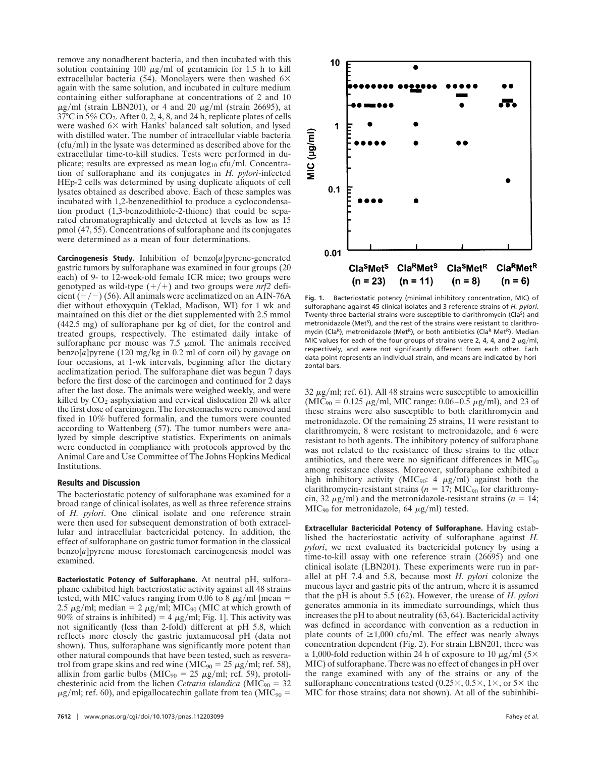remove any nonadherent bacteria, and then incubated with this solution containing 100  $\mu$ g/ml of gentamicin for 1.5 h to kill extracellular bacteria (54). Monolayers were then washed  $6\times$ again with the same solution, and incubated in culture medium containing either sulforaphane at concentrations of 2 and 10  $\mu$ g/ml (strain LBN201), or 4 and 20  $\mu$ g/ml (strain 26695), at 37°C in 5% CO2. After 0, 2, 4, 8, and 24 h, replicate plates of cells were washed  $6\times$  with Hanks' balanced salt solution, and lysed with distilled water. The number of intracellular viable bacteria  $(cfu/ml)$  in the lysate was determined as described above for the extracellular time-to-kill studies. Tests were performed in duplicate; results are expressed as mean  $log_{10}$  cfu/ml. Concentration of sulforaphane and its conjugates in *H. pylori*-infected HEp-2 cells was determined by using duplicate aliquots of cell lysates obtained as described above. Each of these samples was incubated with 1,2-benzenedithiol to produce a cyclocondensation product (1,3-benzodithiole-2-thione) that could be separated chromatographically and detected at levels as low as 15 pmol (47, 55). Concentrations of sulforaphane and its conjugates were determined as a mean of four determinations.

**Carcinogenesis Study.** Inhibition of benzo[*a*]pyrene-generated gastric tumors by sulforaphane was examined in four groups (20 each) of 9- to 12-week-old female ICR mice; two groups were genotyped as wild-type  $(+/+)$  and two groups were  $nrf2$  deficient  $(-/-)$  (56). All animals were acclimatized on an AIN-76A diet without ethoxyquin (Teklad, Madison, WI) for 1 wk and maintained on this diet or the diet supplemented with 2.5 mmol (442.5 mg) of sulforaphane per kg of diet, for the control and treated groups, respectively. The estimated daily intake of sulforaphane per mouse was  $7.5 \mu$ mol. The animals received benzo $[a]$ pyrene (120 mg/kg in 0.2 ml of corn oil) by gavage on four occasions, at 1-wk intervals, beginning after the dietary acclimatization period. The sulforaphane diet was begun 7 days before the first dose of the carcinogen and continued for 2 days after the last dose. The animals were weighed weekly, and were killed by  $CO<sub>2</sub>$  asphyxiation and cervical dislocation 20 wk after the first dose of carcinogen. The forestomachs were removed and fixed in 10% buffered formalin, and the tumors were counted according to Wattenberg (57). The tumor numbers were analyzed by simple descriptive statistics. Experiments on animals were conducted in compliance with protocols approved by the Animal Care and Use Committee of The Johns Hopkins Medical Institutions.

## **Results and Discussion**

The bacteriostatic potency of sulforaphane was examined for a broad range of clinical isolates, as well as three reference strains of *H. pylori*. One clinical isolate and one reference strain were then used for subsequent demonstration of both extracellular and intracellular bactericidal potency. In addition, the effect of sulforaphane on gastric tumor formation in the classical benzo[*a*]pyrene mouse forestomach carcinogenesis model was examined.

**Bacteriostatic Potency of Sulforaphane.** At neutral pH, sulforaphane exhibited high bacteriostatic activity against all 48 strains tested, with MIC values ranging from 0.06 to 8  $\mu$ g/ml [mean = 2.5  $\mu$ g/ml; median = 2  $\mu$ g/ml; MIC<sub>90</sub> (MIC at which growth of 90% of strains is inhibited) = 4  $\mu$ g/ml; Fig. 1]. This activity was not significantly (less than 2-fold) different at pH 5.8, which reflects more closely the gastric juxtamucosal pH (data not shown). Thus, sulforaphane was significantly more potent than other natural compounds that have been tested, such as resveratrol from grape skins and red wine (MIC<sub>90</sub> = 25  $\mu$ g/ml; ref. 58), allixin from garlic bulbs (MIC<sub>90</sub> = 25  $\mu$ g/ml; ref. 59), protolichesterinic acid from the lichen *Cetraria islandica* ( $MIC_{90} = 32$ )  $\mu$ g/ml; ref. 60), and epigallocatechin gallate from tea (MIC<sub>90</sub> =



**Fig. 1.** Bacteriostatic potency (minimal inhibitory concentration, MIC) of sulforaphane against 45 clinical isolates and 3 reference strains of *H. pylori*. Twenty-three bacterial strains were susceptible to clarithromycin (Cla<sup>S</sup>) and metronidazole (Met<sup>5</sup>), and the rest of the strains were resistant to clarithromycin (ClaR), metronidazole (MetR), or both antibiotics (ClaR MetR). Median MIC values for each of the four groups of strains were 2, 4, 4, and 2  $\mu$ g/ml, respectively, and were not significantly different from each other. Each data point represents an individual strain, and means are indicated by horizontal bars.

 $32 \mu g/ml$ ; ref. 61). All 48 strains were susceptible to amoxicillin  $(MIC_{90} = 0.125 \mu g/ml$ , MIC range: 0.06–0.5  $\mu g/ml$ , and 23 of these strains were also susceptible to both clarithromycin and metronidazole. Of the remaining 25 strains, 11 were resistant to clarithromycin, 8 were resistant to metronidazole, and 6 were resistant to both agents. The inhibitory potency of sulforaphane was not related to the resistance of these strains to the other antibiotics, and there were no significant differences in  $MIC<sub>90</sub>$ among resistance classes. Moreover, sulforaphane exhibited a high inhibitory activity (MIC<sub>90</sub>: 4  $\mu$ g/ml) against both the clarithromycin-resistant strains ( $n = 17$ ; MIC<sub>90</sub> for clarithromycin, 32  $\mu$ g/ml) and the metronidazole-resistant strains ( $n = 14$ ;  $MIC<sub>90</sub>$  for metronidazole, 64  $\mu$ g/ml) tested.

**Extracellular Bactericidal Potency of Sulforaphane.** Having established the bacteriostatic activity of sulforaphane against *H. pylori*, we next evaluated its bactericidal potency by using a time-to-kill assay with one reference strain (26695) and one clinical isolate (LBN201). These experiments were run in parallel at pH 7.4 and 5.8, because most *H. pylori* colonize the mucous layer and gastric pits of the antrum, where it is assumed that the pH is about 5.5 (62). However, the urease of *H. pylori* generates ammonia in its immediate surroundings, which thus increases the pH to about neutrality (63, 64). Bactericidal activity was defined in accordance with convention as a reduction in plate counts of  $\geq 1,000$  cfu/ml. The effect was nearly always concentration dependent (Fig. 2). For strain LBN201, there was a 1,000-fold reduction within 24 h of exposure to 10  $\mu$ g/ml (5× MIC) of sulforaphane. There was no effect of changes in pH over the range examined with any of the strains or any of the sulforaphane concentrations tested  $(0.25\times, 0.5\times, 1\times, \text{or } 5\times$  the MIC for those strains; data not shown). At all of the subinhibi-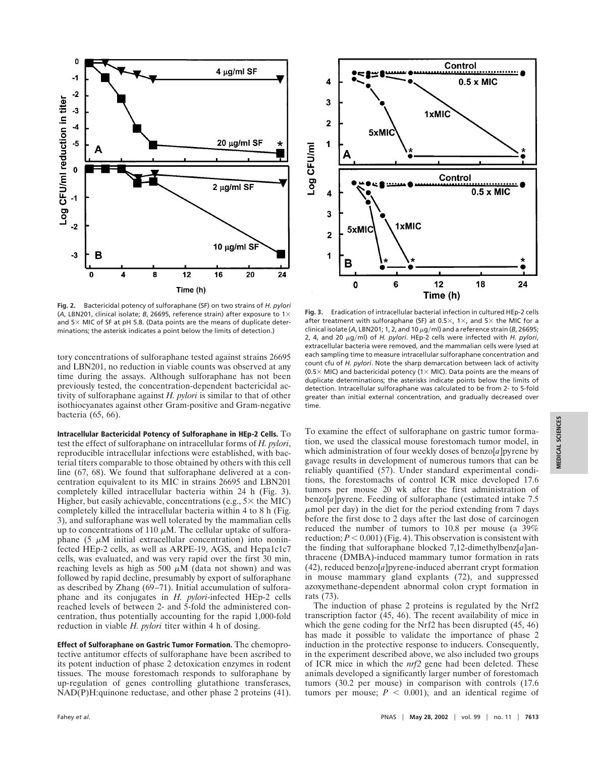

**Fig. 2.** Bactericidal potency of sulforaphane (SF) on two strains of *H. pylori* (*A*, LBN201, clinical isolate; *B*, 26695, reference strain) after exposure to 1 and  $5\times$  MIC of SF at pH 5.8. (Data points are the means of duplicate determinations; the asterisk indicates a point below the limits of detection.)

tory concentrations of sulforaphane tested against strains 26695 and LBN201, no reduction in viable counts was observed at any time during the assays. Although sulforaphane has not been previously tested, the concentration-dependent bactericidal activity of sulforaphane against *H. pylori* is similar to that of other isothiocyanates against other Gram-positive and Gram-negative bacteria (65, 66).

**Intracellular Bactericidal Potency of Sulforaphane in HEp-2 Cells.** To test the effect of sulforaphane on intracellular forms of *H. pylori*, reproducible intracellular infections were established, with bacterial titers comparable to those obtained by others with this cell line (67, 68). We found that sulforaphane delivered at a concentration equivalent to its MIC in strains 26695 and LBN201 completely killed intracellular bacteria within 24 h (Fig. 3). Higher, but easily achievable, concentrations (e.g.,  $5\times$  the MIC) completely killed the intracellular bacteria within 4 to 8 h (Fig. 3), and sulforaphane was well tolerated by the mammalian cells up to concentrations of 110  $\mu$ M. The cellular uptake of sulforaphane (5  $\mu$ M initial extracellular concentration) into noninfected HEp-2 cells, as well as ARPE-19, AGS, and Hepa1c1c7 cells, was evaluated, and was very rapid over the first 30 min, reaching levels as high as 500  $\mu$ M (data not shown) and was followed by rapid decline, presumably by export of sulforaphane as described by Zhang (69–71). Initial accumulation of sulforaphane and its conjugates in *H. pylori*-infected HEp-2 cells reached levels of between 2- and 5-fold the administered concentration, thus potentially accounting for the rapid 1,000-fold reduction in viable *H. pylori* titer within 4 h of dosing.

**Effect of Sulforaphane on Gastric Tumor Formation.** The chemoprotective antitumor effects of sulforaphane have been ascribed to its potent induction of phase 2 detoxication enzymes in rodent tissues. The mouse forestomach responds to sulforaphane by up-regulation of genes controlling glutathione transferases, NAD(P)H:quinone reductase, and other phase 2 proteins (41).



**Fig. 3.** Eradication of intracellular bacterial infection in cultured HEp-2 cells after treatment with sulforaphane (SF) at 0.5 $\times$ , 1 $\times$ , and 5 $\times$  the MIC for a clinical isolate (A, LBN201; 1, 2, and 10  $\mu$ g/ml) and a reference strain (*B*, 26695; 2, 4, and 20  $\mu$ g/ml) of *H. pylori*. HEp-2 cells were infected with *H. pylori*, extracellular bacteria were removed, and the mammalian cells were lysed at each sampling time to measure intracellular sulforaphane concentration and count cfu of *H. pylori*. Note the sharp demarcation between lack of activity (0.5  $\times$  MIC) and bactericidal potency (1 $\times$  MIC). Data points are the means of duplicate determinations; the asterisks indicate points below the limits of detection. Intracellular sulforaphane was calculated to be from 2- to 5-fold greater than initial external concentration, and gradually decreased over time.

To examine the effect of sulforaphane on gastric tumor formation, we used the classical mouse forestomach tumor model, in which administration of four weekly doses of benzo[*a*] pyrene by gavage results in development of numerous tumors that can be reliably quantified (57). Under standard experimental conditions, the forestomachs of control ICR mice developed 17.6 tumors per mouse 20 wk after the first administration of benzo[*a*]pyrene. Feeding of sulforaphane (estimated intake 7.5  $\mu$ mol per day) in the diet for the period extending from 7 days before the first dose to 2 days after the last dose of carcinogen reduced the number of tumors to 10.8 per mouse (a 39% reduction;  $P < 0.001$ ) (Fig. 4). This observation is consistent with the finding that sulforaphane blocked 7,12-dimethylbenz[*a*]anthracene (DMBA)-induced mammary tumor formation in rats (42), reduced benzo[*a*]pyrene-induced aberrant crypt formation in mouse mammary gland explants (72), and suppressed azoxymethane-dependent abnormal colon crypt formation in rats (73).

The induction of phase 2 proteins is regulated by the Nrf2 transcription factor (45, 46). The recent availability of mice in which the gene coding for the Nrf2 has been disrupted (45, 46) has made it possible to validate the importance of phase 2 induction in the protective response to inducers. Consequently, in the experiment described above, we also included two groups of ICR mice in which the *nrf2* gene had been deleted. These animals developed a significantly larger number of forestomach tumors (30.2 per mouse) in comparison with controls (17.6 tumors per mouse;  $P < 0.001$ ), and an identical regime of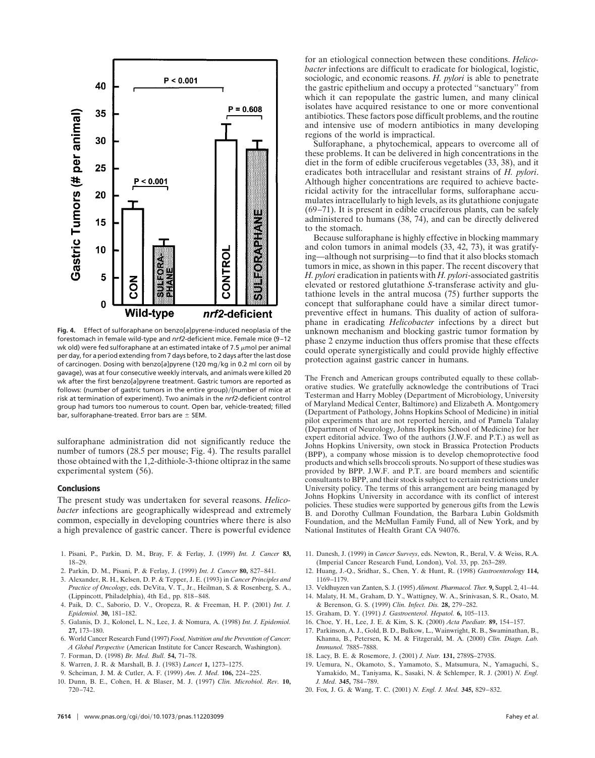

**Fig. 4.** Effect of sulforaphane on benzo[*a*]pyrene-induced neoplasia of the forestomach in female wild-type and *nrf2*-deficient mice. Female mice (9–12 wk old) were fed sulforaphane at an estimated intake of 7.5  $\mu$ mol per animal per day, for a period extending from 7 days before, to 2 days after the last dose of carcinogen. Dosing with benzo[a]pyrene (120 mg/kg in 0.2 ml corn oil by gavage), was at four consecutive weekly intervals, and animals were killed 20 wk after the first benzo[*a*]pyrene treatment. Gastric tumors are reported as follows: (number of gastric tumors in the entire group)/(number of mice at risk at termination of experiment). Two animals in the *nrf2*-deficient control group had tumors too numerous to count. Open bar, vehicle-treated; filled bar, sulforaphane-treated. Error bars are  $\pm$  SEM.

sulforaphane administration did not significantly reduce the number of tumors (28.5 per mouse; Fig. 4). The results parallel those obtained with the 1,2-dithiole-3-thione oltipraz in the same experimental system (56).

#### **Conclusions**

The present study was undertaken for several reasons. *Helicobacter* infections are geographically widespread and extremely common, especially in developing countries where there is also a high prevalence of gastric cancer. There is powerful evidence

- 1. Pisani, P., Parkin, D. M., Bray, F. & Ferlay, J. (1999) *Int. J. Cancer* **83,** 18–29.
- 2. Parkin, D. M., Pisani, P. & Ferlay, J. (1999) *Int. J. Cancer* **80,** 827–841.
- 3. Alexander, R. H., Kelsen, D. P. & Tepper, J. E. (1993) in *Cancer Principles and Practice of Oncology*, eds. DeVita, V. T., Jr., Heilman, S. & Rosenberg, S. A., (Lippincott, Philadelphia), 4th Ed., pp. 818–848.
- 4. Paik, D. C., Saborio, D. V., Oropeza, R. & Freeman, H. P. (2001) *Int. J. Epidemiol.* **30,** 181–182.
- 5. Galanis, D. J., Kolonel, L. N., Lee, J. & Nomura, A. (1998) *Int. J. Epidemiol.* **27,** 173–180.
- 6. World Cancer Research Fund (1997) *Food, Nutrition and the Prevention of Cancer: A Global Perspective* (American Institute for Cancer Research, Washington).
- 7. Forman, D. (1998) *Br. Med. Bull.* **54,** 71–78.
- 8. Warren, J. R. & Marshall, B. J. (1983) *Lancet* **1,** 1273–1275.
- 9. Scheiman, J. M. & Cutler, A. F. (1999) *Am. J. Med.* **106,** 224–225.
- 10. Dunn, B. E., Cohen, H. & Blaser, M. J. (1997) *Clin. Microbiol. Rev.* **10,** 720–742.

for an etiological connection between these conditions. *Helicobacter* infections are difficult to eradicate for biological, logistic, sociologic, and economic reasons. *H. pylori* is able to penetrate the gastric epithelium and occupy a protected ''sanctuary'' from which it can repopulate the gastric lumen, and many clinical isolates have acquired resistance to one or more conventional antibiotics. These factors pose difficult problems, and the routine and intensive use of modern antibiotics in many developing regions of the world is impractical.

Sulforaphane, a phytochemical, appears to overcome all of these problems. It can be delivered in high concentrations in the diet in the form of edible cruciferous vegetables (33, 38), and it eradicates both intracellular and resistant strains of *H. pylori*. Although higher concentrations are required to achieve bactericidal activity for the intracellular forms, sulforaphane accumulates intracellularly to high levels, as its glutathione conjugate (69–71). It is present in edible cruciferous plants, can be safely administered to humans (38, 74), and can be directly delivered to the stomach.

Because sulforaphane is highly effective in blocking mammary and colon tumors in animal models (33, 42, 73), it was gratifying—although not surprising—to find that it also blocks stomach tumors in mice, as shown in this paper. The recent discovery that *H. pylori* eradication in patients with *H. pylori*-associated gastritis elevated or restored glutathione *S*-transferase activity and glutathione levels in the antral mucosa (75) further supports the concept that sulforaphane could have a similar direct tumorpreventive effect in humans. This duality of action of sulforaphane in eradicating *Helicobacter* infections by a direct but unknown mechanism and blocking gastric tumor formation by phase 2 enzyme induction thus offers promise that these effects could operate synergistically and could provide highly effective protection against gastric cancer in humans.

The French and American groups contributed equally to these collaborative studies. We gratefully acknowledge the contributions of Traci Testerman and Harry Mobley (Department of Microbiology, University of Maryland Medical Center, Baltimore) and Elizabeth A. Montgomery (Department of Pathology, Johns Hopkins School of Medicine) in initial pilot experiments that are not reported herein, and of Pamela Talalay (Department of Neurology, Johns Hopkins School of Medicine) for her expert editorial advice. Two of the authors (J.W.F. and P.T.) as well as Johns Hopkins University, own stock in Brassica Protection Products (BPP), a company whose mission is to develop chemoprotective food products and which sells broccoli sprouts. No support of these studies was provided by BPP. J.W.F. and P.T. are board members and scientific consultants to BPP, and their stock is subject to certain restrictions under University policy. The terms of this arrangement are being managed by Johns Hopkins University in accordance with its conflict of interest policies. These studies were supported by generous gifts from the Lewis B. and Dorothy Cullman Foundation, the Barbara Lubin Goldsmith Foundation, and the McMullan Family Fund, all of New York, and by National Institutes of Health Grant CA 94076.

- 11. Danesh, J. (1999) in *Cancer Surveys*, eds. Newton, R., Beral, V. & Weiss, R.A. (Imperial Cancer Research Fund, London), Vol. 33, pp. 263–289.
- 12. Huang, J.-Q., Sridhar, S., Chen, Y. & Hunt, R. (1998) *Gastroenterology* **114,** 1169–1179.
- 13. Veldhuyzen van Zanten, S. J. (1995) *Aliment. Pharmacol. Ther.* **9,** Suppl. 2, 41–44.
- 14. Malaty, H. M., Graham, D. Y., Wattigney, W. A., Srinivasan, S. R., Osato, M. & Berenson, G. S. (1999) *Clin. Infect. Dis.* **28,** 279–282.
- 15. Graham, D. Y. (1991) *J. Gastroenterol. Hepatol.* **6,** 105–113.
- 16. Choe, Y. H., Lee, J. E. & Kim, S. K. (2000) *Acta Paediatr.* **89,** 154–157.
- 17. Parkinson, A. J., Gold, B. D., Bulkow, L., Wainwright, R. B., Swaminathan, B., Khanna, B., Petersen, K. M. & Fitzgerald, M. A. (2000) *Clin. Diagn. Lab. Immunol.* 7885–7888.
- 18. Lacy, B. E. & Rosemore, J. (2001) *J. Nutr.* **131,** 2789S–2793S.
- 19. Uemura, N., Okamoto, S., Yamamoto, S., Matsumura, N., Yamaguchi, S., Yamakido, M., Taniyama, K., Sasaki, N. & Schlemper, R. J. (2001) *N. Engl. J. Med.* **345,** 784–789.
- 20. Fox, J. G. & Wang, T. C. (2001) *N. Engl. J. Med.* **345,** 829–832.